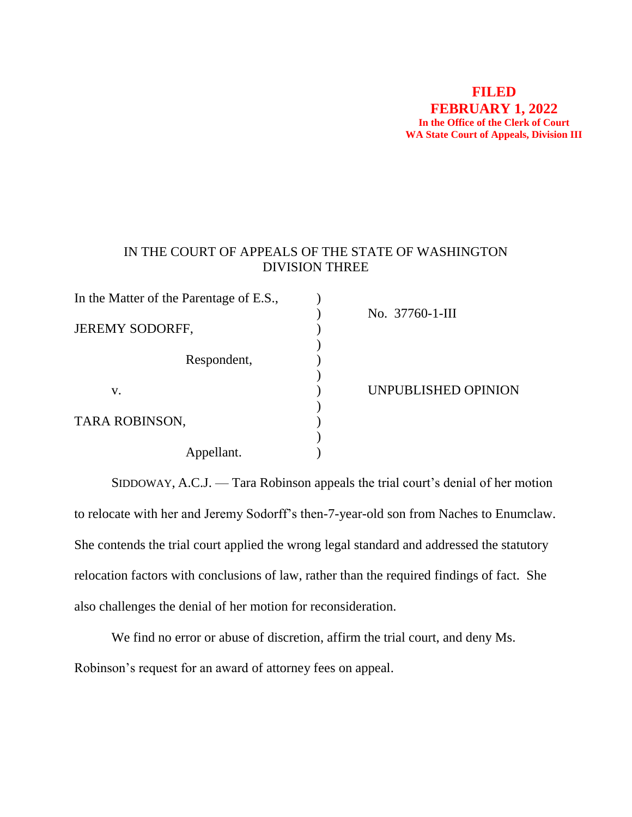## **FILED FEBRUARY 1, 2022 In the Office of the Clerk of Court WA State Court of Appeals, Division III**

## IN THE COURT OF APPEALS OF THE STATE OF WASHINGTON DIVISION THREE

| In the Matter of the Parentage of E.S., |                     |
|-----------------------------------------|---------------------|
| <b>JEREMY SODORFF,</b>                  | No. 37760-1-III     |
| Respondent,                             |                     |
| V.                                      | UNPUBLISHED OPINION |
| TARA ROBINSON,                          |                     |
|                                         |                     |
| Appellant.                              |                     |

SIDDOWAY, A.C.J. — Tara Robinson appeals the trial court's denial of her motion to relocate with her and Jeremy Sodorff's then-7-year-old son from Naches to Enumclaw. She contends the trial court applied the wrong legal standard and addressed the statutory relocation factors with conclusions of law, rather than the required findings of fact. She also challenges the denial of her motion for reconsideration.

We find no error or abuse of discretion, affirm the trial court, and deny Ms. Robinson's request for an award of attorney fees on appeal.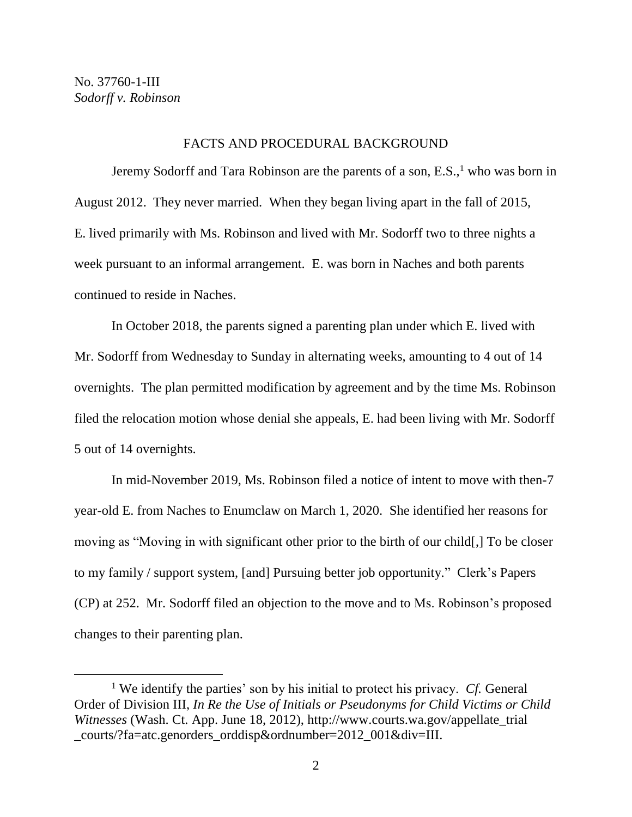#### FACTS AND PROCEDURAL BACKGROUND

Jeremy Sodorff and Tara Robinson are the parents of a son, E.S., <sup>1</sup> who was born in August 2012. They never married. When they began living apart in the fall of 2015, E. lived primarily with Ms. Robinson and lived with Mr. Sodorff two to three nights a week pursuant to an informal arrangement. E. was born in Naches and both parents continued to reside in Naches.

In October 2018, the parents signed a parenting plan under which E. lived with Mr. Sodorff from Wednesday to Sunday in alternating weeks, amounting to 4 out of 14 overnights. The plan permitted modification by agreement and by the time Ms. Robinson filed the relocation motion whose denial she appeals, E. had been living with Mr. Sodorff 5 out of 14 overnights.

In mid-November 2019, Ms. Robinson filed a notice of intent to move with then-7 year-old E. from Naches to Enumclaw on March 1, 2020. She identified her reasons for moving as "Moving in with significant other prior to the birth of our child[,] To be closer to my family / support system, [and] Pursuing better job opportunity." Clerk's Papers (CP) at 252. Mr. Sodorff filed an objection to the move and to Ms. Robinson's proposed changes to their parenting plan.

<sup>1</sup> We identify the parties' son by his initial to protect his privacy. *Cf.* General Order of Division III, *In Re the Use of Initials or Pseudonyms for Child Victims or Child Witnesses* (Wash. Ct. App. June 18, 2012), http://www.courts.wa.gov/appellate\_trial \_courts/?fa=atc.genorders\_orddisp&ordnumber=2012\_001&div=III.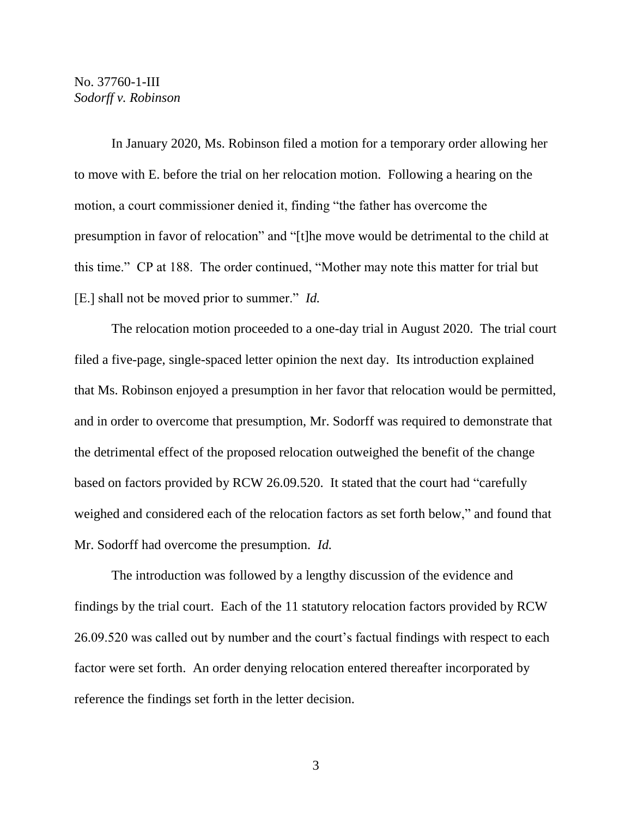In January 2020, Ms. Robinson filed a motion for a temporary order allowing her to move with E. before the trial on her relocation motion. Following a hearing on the motion, a court commissioner denied it, finding "the father has overcome the presumption in favor of relocation" and "[t]he move would be detrimental to the child at this time." CP at 188. The order continued, "Mother may note this matter for trial but [E.] shall not be moved prior to summer." *Id.*

The relocation motion proceeded to a one-day trial in August 2020. The trial court filed a five-page, single-spaced letter opinion the next day. Its introduction explained that Ms. Robinson enjoyed a presumption in her favor that relocation would be permitted, and in order to overcome that presumption, Mr. Sodorff was required to demonstrate that the detrimental effect of the proposed relocation outweighed the benefit of the change based on factors provided by RCW 26.09.520. It stated that the court had "carefully weighed and considered each of the relocation factors as set forth below," and found that Mr. Sodorff had overcome the presumption. *Id.* 

The introduction was followed by a lengthy discussion of the evidence and findings by the trial court. Each of the 11 statutory relocation factors provided by RCW 26.09.520 was called out by number and the court's factual findings with respect to each factor were set forth. An order denying relocation entered thereafter incorporated by reference the findings set forth in the letter decision.

3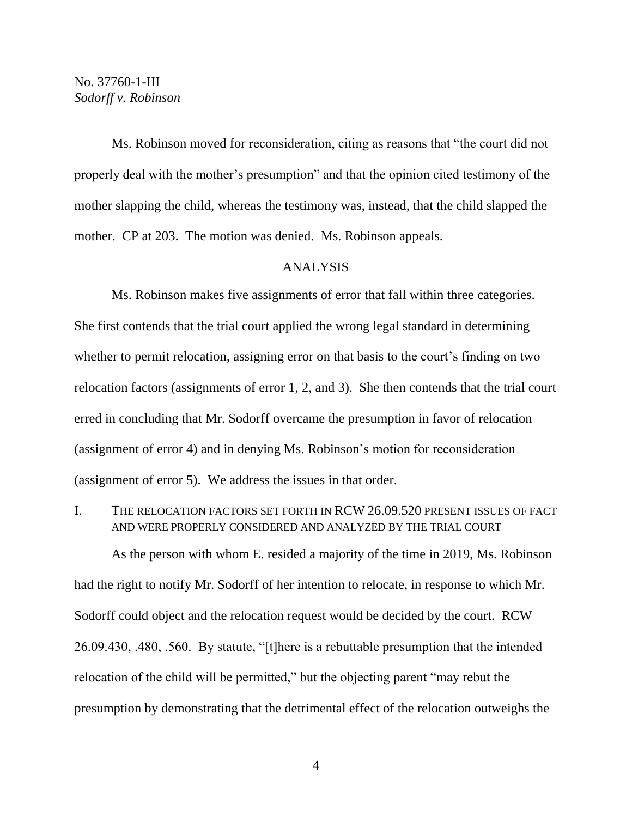Ms. Robinson moved for reconsideration, citing as reasons that "the court did not properly deal with the mother's presumption" and that the opinion cited testimony of the mother slapping the child, whereas the testimony was, instead, that the child slapped the mother. CP at 203. The motion was denied. Ms. Robinson appeals.

#### ANALYSIS

Ms. Robinson makes five assignments of error that fall within three categories. She first contends that the trial court applied the wrong legal standard in determining whether to permit relocation, assigning error on that basis to the court's finding on two relocation factors (assignments of error 1, 2, and 3). She then contends that the trial court erred in concluding that Mr. Sodorff overcame the presumption in favor of relocation (assignment of error 4) and in denying Ms. Robinson's motion for reconsideration (assignment of error 5). We address the issues in that order.

I. THE RELOCATION FACTORS SET FORTH IN RCW 26.09.520 PRESENT ISSUES OF FACT AND WERE PROPERLY CONSIDERED AND ANALYZED BY THE TRIAL COURT

As the person with whom E. resided a majority of the time in 2019, Ms. Robinson had the right to notify Mr. Sodorff of her intention to relocate, in response to which Mr. Sodorff could object and the relocation request would be decided by the court. RCW 26.09.430, .480, .560. By statute, "[t]here is a rebuttable presumption that the intended relocation of the child will be permitted," but the objecting parent "may rebut the presumption by demonstrating that the detrimental effect of the relocation outweighs the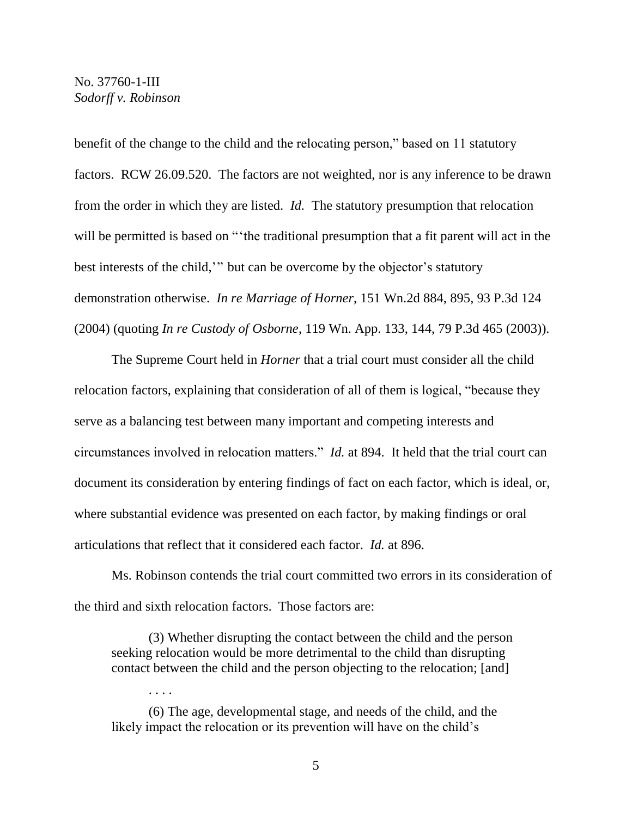benefit of the change to the child and the relocating person," based on 11 statutory factors. RCW 26.09.520. The factors are not weighted, nor is any inference to be drawn from the order in which they are listed. *Id.* The statutory presumption that relocation will be permitted is based on "the traditional presumption that a fit parent will act in the best interests of the child,'" but can be overcome by the objector's statutory demonstration otherwise. *In re Marriage of Horner*, 151 Wn.2d 884, 895, 93 P.3d 124 (2004) (quoting *In re Custody of Osborne*, 119 Wn. App. 133, 144, 79 P.3d 465 (2003)).

The Supreme Court held in *Horner* that a trial court must consider all the child relocation factors, explaining that consideration of all of them is logical, "because they serve as a balancing test between many important and competing interests and circumstances involved in relocation matters." *Id.* at 894. It held that the trial court can document its consideration by entering findings of fact on each factor, which is ideal, or, where substantial evidence was presented on each factor, by making findings or oral articulations that reflect that it considered each factor. *Id.* at 896.

Ms. Robinson contends the trial court committed two errors in its consideration of the third and sixth relocation factors. Those factors are:

(3) Whether disrupting the contact between the child and the person seeking relocation would be more detrimental to the child than disrupting contact between the child and the person objecting to the relocation; [and]

(6) The age, developmental stage, and needs of the child, and the likely impact the relocation or its prevention will have on the child's

. . . .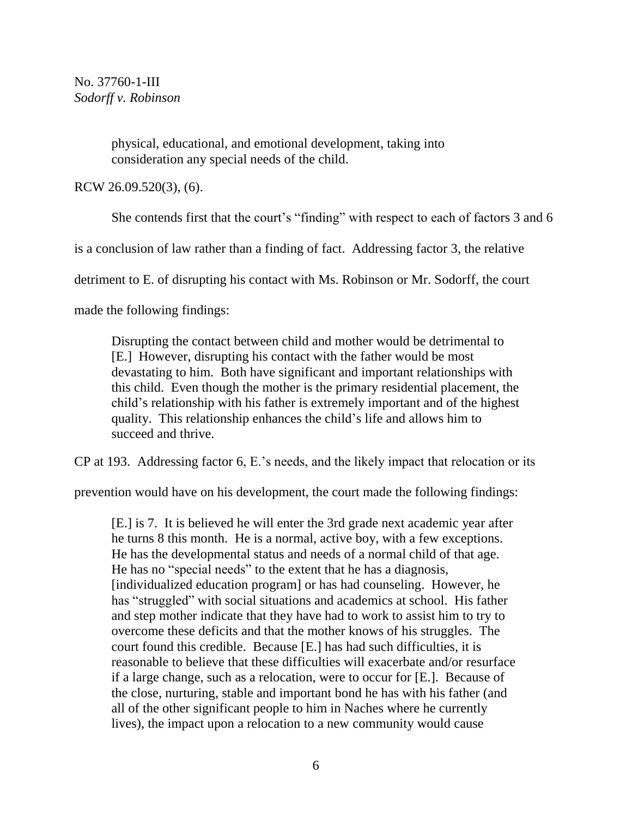> physical, educational, and emotional development, taking into consideration any special needs of the child.

RCW 26.09.520(3), (6).

She contends first that the court's "finding" with respect to each of factors 3 and 6

is a conclusion of law rather than a finding of fact. Addressing factor 3, the relative

detriment to E. of disrupting his contact with Ms. Robinson or Mr. Sodorff, the court

made the following findings:

Disrupting the contact between child and mother would be detrimental to [E.] However, disrupting his contact with the father would be most devastating to him. Both have significant and important relationships with this child. Even though the mother is the primary residential placement, the child's relationship with his father is extremely important and of the highest quality. This relationship enhances the child's life and allows him to succeed and thrive.

CP at 193. Addressing factor 6, E.'s needs, and the likely impact that relocation or its

prevention would have on his development, the court made the following findings:

[E.] is 7. It is believed he will enter the 3rd grade next academic year after he turns 8 this month. He is a normal, active boy, with a few exceptions. He has the developmental status and needs of a normal child of that age. He has no "special needs" to the extent that he has a diagnosis, [individualized education program] or has had counseling. However, he has "struggled" with social situations and academics at school. His father and step mother indicate that they have had to work to assist him to try to overcome these deficits and that the mother knows of his struggles. The court found this credible. Because [E.] has had such difficulties, it is reasonable to believe that these difficulties will exacerbate and/or resurface if a large change, such as a relocation, were to occur for [E.]. Because of the close, nurturing, stable and important bond he has with his father (and all of the other significant people to him in Naches where he currently lives), the impact upon a relocation to a new community would cause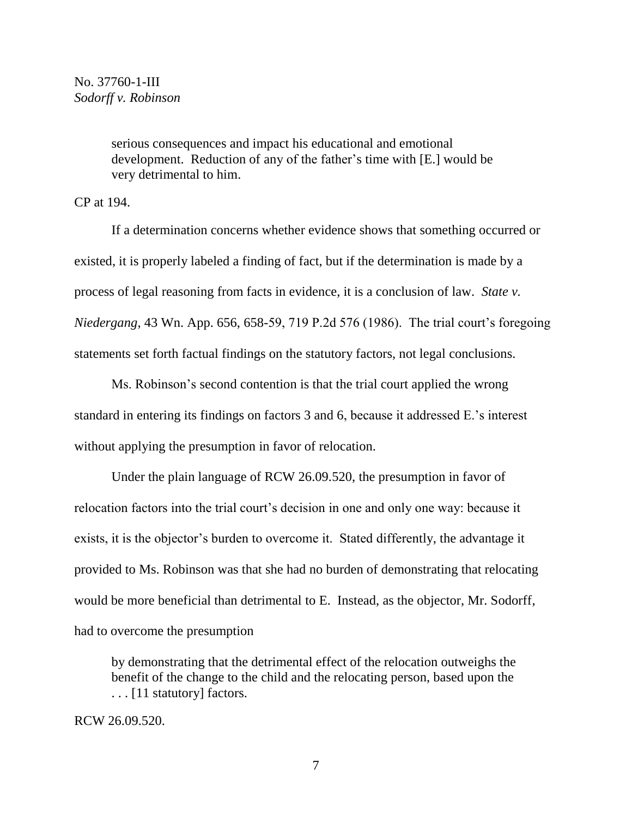serious consequences and impact his educational and emotional development. Reduction of any of the father's time with [E.] would be very detrimental to him.

CP at 194.

If a determination concerns whether evidence shows that something occurred or existed, it is properly labeled a finding of fact, but if the determination is made by a process of legal reasoning from facts in evidence, it is a conclusion of law. *State v. Niedergang*, 43 Wn. App. 656, 658-59, 719 P.2d 576 (1986). The trial court's foregoing statements set forth factual findings on the statutory factors, not legal conclusions.

Ms. Robinson's second contention is that the trial court applied the wrong standard in entering its findings on factors 3 and 6, because it addressed E.'s interest without applying the presumption in favor of relocation.

Under the plain language of RCW 26.09.520, the presumption in favor of relocation factors into the trial court's decision in one and only one way: because it exists, it is the objector's burden to overcome it. Stated differently, the advantage it provided to Ms. Robinson was that she had no burden of demonstrating that relocating would be more beneficial than detrimental to E. Instead, as the objector, Mr. Sodorff, had to overcome the presumption

by demonstrating that the detrimental effect of the relocation outweighs the benefit of the change to the child and the relocating person, based upon the . . . [11 statutory] factors.

RCW 26.09.520.

7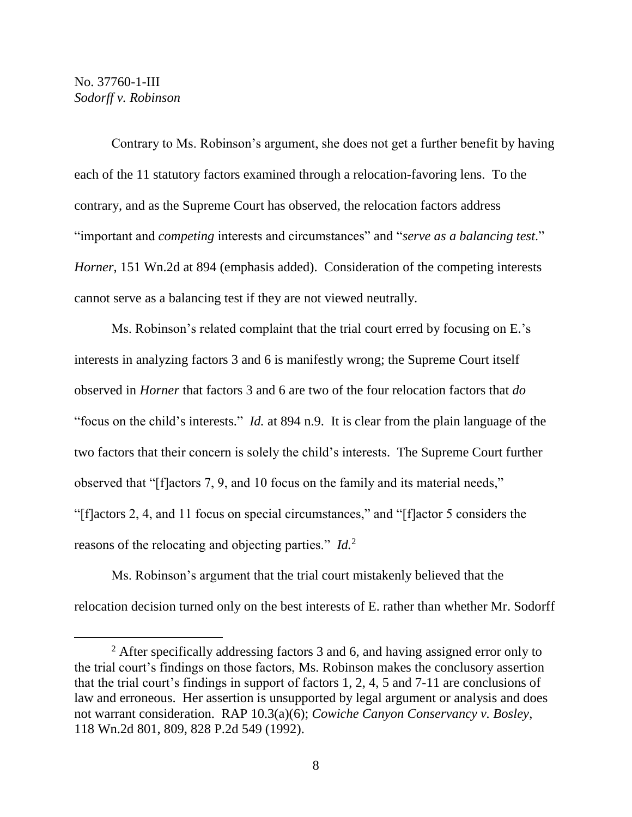Contrary to Ms. Robinson's argument, she does not get a further benefit by having each of the 11 statutory factors examined through a relocation-favoring lens. To the contrary, and as the Supreme Court has observed, the relocation factors address "important and *competing* interests and circumstances" and "*serve as a balancing test*." *Horner*, 151 Wn.2d at 894 (emphasis added). Consideration of the competing interests cannot serve as a balancing test if they are not viewed neutrally.

Ms. Robinson's related complaint that the trial court erred by focusing on E.'s interests in analyzing factors 3 and 6 is manifestly wrong; the Supreme Court itself observed in *Horner* that factors 3 and 6 are two of the four relocation factors that *do* "focus on the child's interests." *Id.* at 894 n.9. It is clear from the plain language of the two factors that their concern is solely the child's interests. The Supreme Court further observed that "[f]actors 7, 9, and 10 focus on the family and its material needs," "[f]actors 2, 4, and 11 focus on special circumstances," and "[f]actor 5 considers the reasons of the relocating and objecting parties." *Id.*<sup>2</sup>

Ms. Robinson's argument that the trial court mistakenly believed that the relocation decision turned only on the best interests of E. rather than whether Mr. Sodorff

<sup>&</sup>lt;sup>2</sup> After specifically addressing factors 3 and 6, and having assigned error only to the trial court's findings on those factors, Ms. Robinson makes the conclusory assertion that the trial court's findings in support of factors 1, 2, 4, 5 and 7-11 are conclusions of law and erroneous. Her assertion is unsupported by legal argument or analysis and does not warrant consideration. RAP 10.3(a)(6); *Cowiche Canyon Conservancy v. Bosley*, 118 Wn.2d 801, 809, 828 P.2d 549 (1992).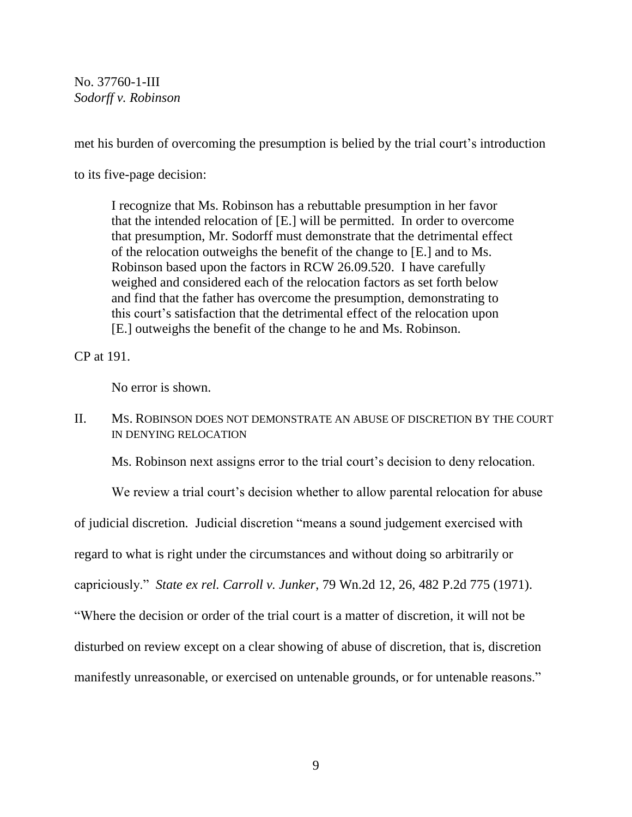met his burden of overcoming the presumption is belied by the trial court's introduction

to its five-page decision:

I recognize that Ms. Robinson has a rebuttable presumption in her favor that the intended relocation of [E.] will be permitted. In order to overcome that presumption, Mr. Sodorff must demonstrate that the detrimental effect of the relocation outweighs the benefit of the change to [E.] and to Ms. Robinson based upon the factors in RCW 26.09.520. I have carefully weighed and considered each of the relocation factors as set forth below and find that the father has overcome the presumption, demonstrating to this court's satisfaction that the detrimental effect of the relocation upon [E.] outweighs the benefit of the change to he and Ms. Robinson.

CP at 191.

No error is shown.

# II. MS. ROBINSON DOES NOT DEMONSTRATE AN ABUSE OF DISCRETION BY THE COURT IN DENYING RELOCATION

Ms. Robinson next assigns error to the trial court's decision to deny relocation.

We review a trial court's decision whether to allow parental relocation for abuse of judicial discretion*.* Judicial discretion "means a sound judgement exercised with regard to what is right under the circumstances and without doing so arbitrarily or capriciously." *State ex rel. Carroll v. Junker*, 79 Wn.2d 12, 26, 482 P.2d 775 (1971). "Where the decision or order of the trial court is a matter of discretion, it will not be disturbed on review except on a clear showing of abuse of discretion, that is, discretion manifestly unreasonable, or exercised on untenable grounds, or for untenable reasons."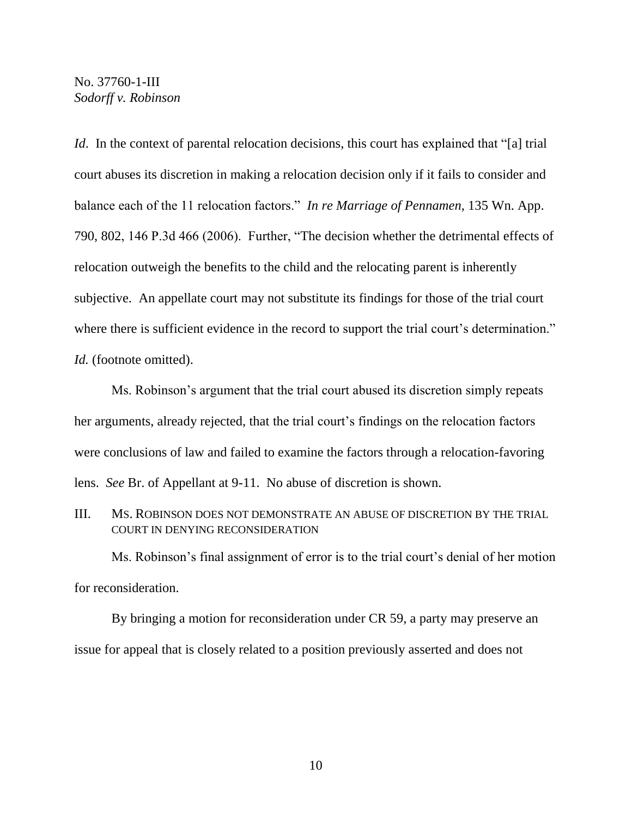*Id.* In the context of parental relocation decisions, this court has explained that "[a] trial court abuses its discretion in making a relocation decision only if it fails to consider and balance each of the 11 relocation factors." *In re Marriage of Pennamen*, 135 Wn. App. 790, 802, 146 P.3d 466 (2006). Further, "The decision whether the detrimental effects of relocation outweigh the benefits to the child and the relocating parent is inherently subjective. An appellate court may not substitute its findings for those of the trial court where there is sufficient evidence in the record to support the trial court's determination." *Id.* (footnote omitted).

Ms. Robinson's argument that the trial court abused its discretion simply repeats her arguments, already rejected, that the trial court's findings on the relocation factors were conclusions of law and failed to examine the factors through a relocation-favoring lens. *See* Br. of Appellant at 9-11. No abuse of discretion is shown.

III. MS. ROBINSON DOES NOT DEMONSTRATE AN ABUSE OF DISCRETION BY THE TRIAL COURT IN DENYING RECONSIDERATION

Ms. Robinson's final assignment of error is to the trial court's denial of her motion for reconsideration.

By bringing a motion for reconsideration under CR 59, a party may preserve an issue for appeal that is closely related to a position previously asserted and does not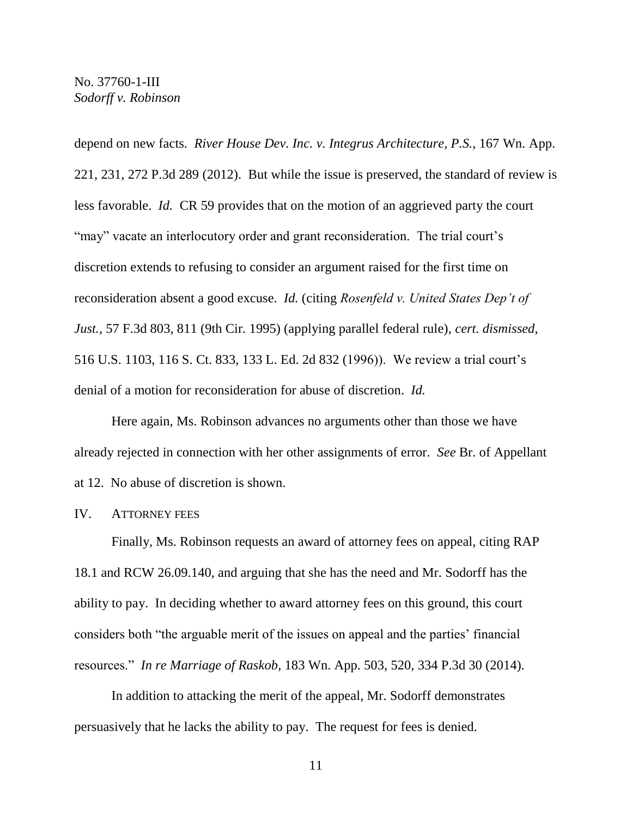depend on new facts. *River House Dev. Inc. v. Integrus Architecture, P.S.*, 167 Wn. App. 221, 231, 272 P.3d 289 (2012). But while the issue is preserved, the standard of review is less favorable. *Id.* CR 59 provides that on the motion of an aggrieved party the court "may" vacate an interlocutory order and grant reconsideration. The trial court's discretion extends to refusing to consider an argument raised for the first time on reconsideration absent a good excuse. *Id.* (citing *Rosenfeld v. United States Dep't of Just.*, 57 F.3d 803, 811 (9th Cir. 1995) (applying parallel federal rule), *cert. dismissed*, 516 U.S. 1103, 116 S. Ct. 833, 133 L. Ed. 2d 832 (1996)). We review a trial court's denial of a motion for reconsideration for abuse of discretion. *Id.*

Here again, Ms. Robinson advances no arguments other than those we have already rejected in connection with her other assignments of error. *See* Br. of Appellant at 12. No abuse of discretion is shown.

IV. ATTORNEY FEES

Finally, Ms. Robinson requests an award of attorney fees on appeal, citing RAP 18.1 and RCW 26.09.140, and arguing that she has the need and Mr. Sodorff has the ability to pay. In deciding whether to award attorney fees on this ground, this court considers both "the arguable merit of the issues on appeal and the parties' financial resources." *In re Marriage of Raskob*, 183 Wn. App. 503, 520, 334 P.3d 30 (2014).

In addition to attacking the merit of the appeal, Mr. Sodorff demonstrates persuasively that he lacks the ability to pay. The request for fees is denied.

11